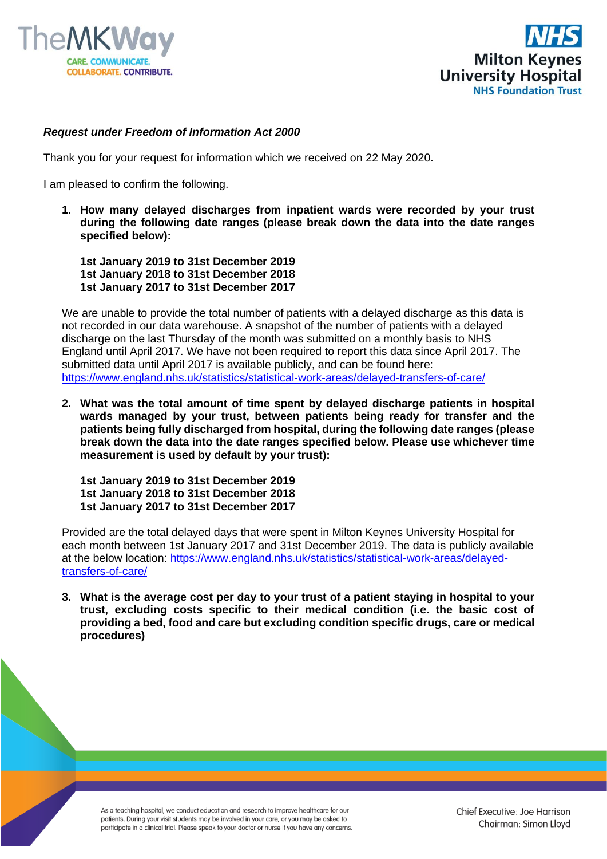



## *Request under Freedom of Information Act 2000*

Thank you for your request for information which we received on 22 May 2020.

I am pleased to confirm the following.

**1. How many delayed discharges from inpatient wards were recorded by your trust during the following date ranges (please break down the data into the date ranges specified below):**

**1st January 2019 to 31st December 2019 1st January 2018 to 31st December 2018 1st January 2017 to 31st December 2017**

We are unable to provide the total number of patients with a delayed discharge as this data is not recorded in our data warehouse. A snapshot of the number of patients with a delayed discharge on the last Thursday of the month was submitted on a monthly basis to NHS England until April 2017. We have not been required to report this data since April 2017. The submitted data until April 2017 is available publicly, and can be found here: <https://www.england.nhs.uk/statistics/statistical-work-areas/delayed-transfers-of-care/>

**2. What was the total amount of time spent by delayed discharge patients in hospital wards managed by your trust, between patients being ready for transfer and the patients being fully discharged from hospital, during the following date ranges (please break down the data into the date ranges specified below. Please use whichever time measurement is used by default by your trust):**

**1st January 2019 to 31st December 2019 1st January 2018 to 31st December 2018 1st January 2017 to 31st December 2017**

Provided are the total delayed days that were spent in Milton Keynes University Hospital for each month between 1st January 2017 and 31st December 2019. The data is publicly available at the below location: [https://www.england.nhs.uk/statistics/statistical-work-areas/delayed](https://www.england.nhs.uk/statistics/statistical-work-areas/delayed-transfers-of-care/)[transfers-of-care/](https://www.england.nhs.uk/statistics/statistical-work-areas/delayed-transfers-of-care/)

**3. What is the average cost per day to your trust of a patient staying in hospital to your trust, excluding costs specific to their medical condition (i.e. the basic cost of providing a bed, food and care but excluding condition specific drugs, care or medical procedures)**

As a teaching hospital, we conduct education and research to improve healthcare for our patients. During your visit students may be involved in your care, or you may be asked to participate in a clinical trial. Please speak to your doctor or nurse if you have any concerns. Chief Executive: Joe Harrison Chairman: Simon Lloyd